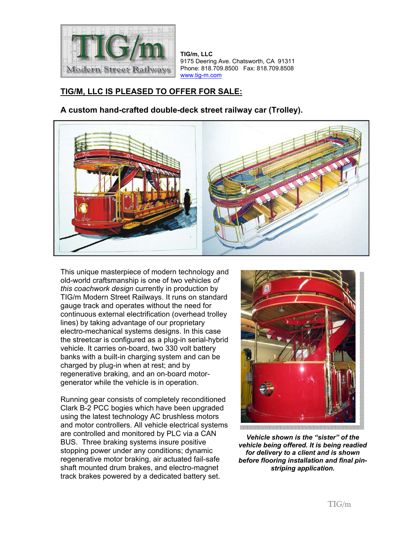

**TIG/m, LLC** 9175 Deering Ave. Chatsworth, CA 91311 Phone: 818.709.8500 Fax: 818.709.8508 www.tig-m.com

## **TIG/M, LLC IS PLEASED TO OFFER FOR SALE:**

**A custom hand-crafted double-deck street railway car (Trolley).** 



This unique masterpiece of modern technology and old-world craftsmanship is one of two vehicles *of this coachwork design* currently in production by TIG/m Modern Street Railways. It runs on standard gauge track and operates without the need for continuous external electrification (overhead trolley lines) by taking advantage of our proprietary electro-mechanical systems designs. In this case the streetcar is configured as a plug-in serial-hybrid vehicle. It carries on-board, two 330 volt battery banks with a built-in charging system and can be charged by plug-in when at rest; and by regenerative braking, and an on-board motorgenerator while the vehicle is in operation.

Running gear consists of completely reconditioned Clark B-2 PCC bogies which have been upgraded using the latest technology AC brushless motors and motor controllers. All vehicle electrical systems are controlled and monitored by PLC via a CAN BUS. Three braking systems insure positive stopping power under any conditions; dynamic regenerative motor braking, air actuated fail-safe shaft mounted drum brakes, and electro-magnet track brakes powered by a dedicated battery set.



i politika je divločana diali politika podata i pod

*Vehicle shown is the "sister" of the vehicle being offered. It is being readied for delivery to a client and is shown before flooring installation and final pinstriping application.*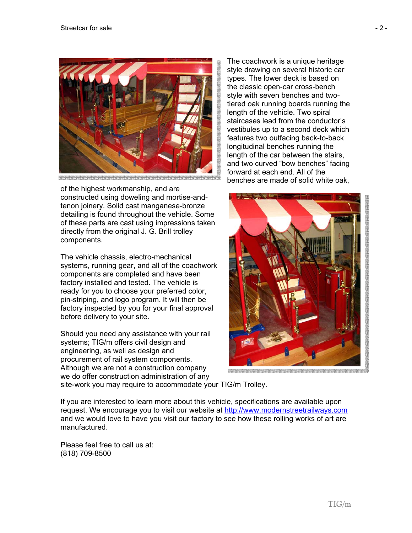

of the highest workmanship, and are constructed using doweling and mortise-andtenon joinery. Solid cast manganese-bronze detailing is found throughout the vehicle. Some of these parts are cast using impressions taken directly from the original J. G. Brill trolley components.

The vehicle chassis, electro-mechanical systems, running gear, and all of the coachwork components are completed and have been factory installed and tested. The vehicle is ready for you to choose your preferred color, pin-striping, and logo program. It will then be factory inspected by you for your final approval before delivery to your site.

Should you need any assistance with your rail systems; TIG/m offers civil design and engineering, as well as design and procurement of rail system components. Although we are not a construction company we do offer construction administration of any

The coachwork is a unique heritage style drawing on several historic car types. The lower deck is based on the classic open-car cross-bench style with seven benches and twotiered oak running boards running the length of the vehicle. Two spiral staircases lead from the conductor's vestibules up to a second deck which features two outfacing back-to-back longitudinal benches running the length of the car between the stairs, and two curved "bow benches" facing forward at each end. All of the benches are made of solid white oak,



site-work you may require to accommodate your TIG/m Trolley.

If you are interested to learn more about this vehicle, specifications are available upon request. We encourage you to visit our website at http://www.modernstreetrailways.com and we would love to have you visit our factory to see how these rolling works of art are manufactured.

Please feel free to call us at: (818) 709-8500